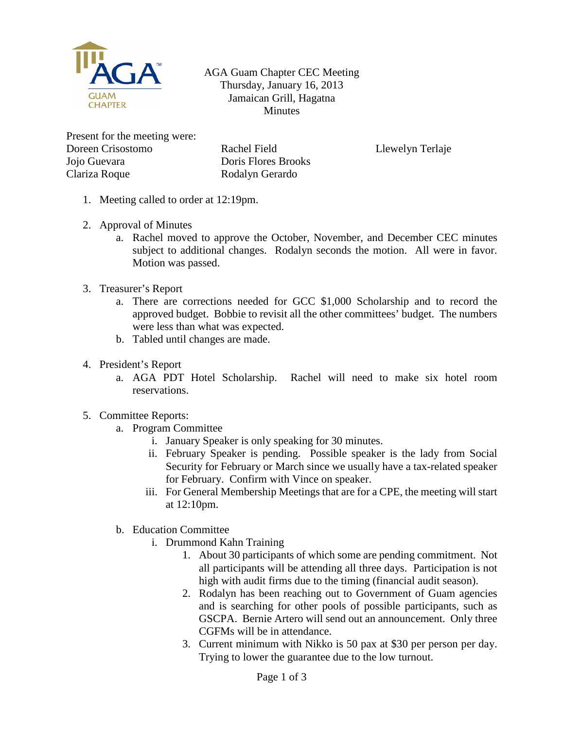

AGA Guam Chapter CEC Meeting Thursday, January 16, 2013 Jamaican Grill, Hagatna Minutes

Present for the meeting were: Doreen Crisostomo Jojo Guevara Clariza Roque

Rachel Field Doris Flores Brooks Rodalyn Gerardo

Llewelyn Terlaje

- 1. Meeting called to order at 12:19pm.
- 2. Approval of Minutes
	- a. Rachel moved to approve the October, November, and December CEC minutes subject to additional changes. Rodalyn seconds the motion. All were in favor. Motion was passed.
- 3. Treasurer's Report
	- a. There are corrections needed for GCC \$1,000 Scholarship and to record the approved budget. Bobbie to revisit all the other committees' budget. The numbers were less than what was expected.
	- b. Tabled until changes are made.
- 4. President's Report
	- a. AGA PDT Hotel Scholarship. Rachel will need to make six hotel room reservations.
- 5. Committee Reports:
	- a. Program Committee
		- i. January Speaker is only speaking for 30 minutes.
		- ii. February Speaker is pending. Possible speaker is the lady from Social Security for February or March since we usually have a tax-related speaker for February. Confirm with Vince on speaker.
		- iii. For General Membership Meetings that are for a CPE, the meeting will start at 12:10pm.
	- b. Education Committee
		- i. Drummond Kahn Training
			- 1. About 30 participants of which some are pending commitment. Not all participants will be attending all three days. Participation is not high with audit firms due to the timing (financial audit season).
			- 2. Rodalyn has been reaching out to Government of Guam agencies and is searching for other pools of possible participants, such as GSCPA. Bernie Artero will send out an announcement. Only three CGFMs will be in attendance.
			- 3. Current minimum with Nikko is 50 pax at \$30 per person per day. Trying to lower the guarantee due to the low turnout.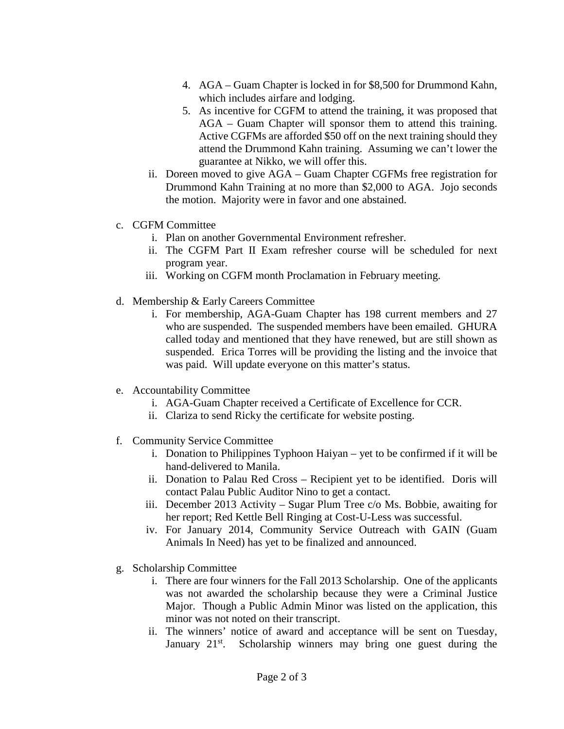- 4. AGA Guam Chapter is locked in for \$8,500 for Drummond Kahn, which includes airfare and lodging.
- 5. As incentive for CGFM to attend the training, it was proposed that AGA – Guam Chapter will sponsor them to attend this training. Active CGFMs are afforded \$50 off on the next training should they attend the Drummond Kahn training. Assuming we can't lower the guarantee at Nikko, we will offer this.
- ii. Doreen moved to give AGA Guam Chapter CGFMs free registration for Drummond Kahn Training at no more than \$2,000 to AGA. Jojo seconds the motion. Majority were in favor and one abstained.
- c. CGFM Committee
	- i. Plan on another Governmental Environment refresher.
	- ii. The CGFM Part II Exam refresher course will be scheduled for next program year.
	- iii. Working on CGFM month Proclamation in February meeting.
- d. Membership & Early Careers Committee
	- i. For membership, AGA-Guam Chapter has 198 current members and 27 who are suspended. The suspended members have been emailed. GHURA called today and mentioned that they have renewed, but are still shown as suspended. Erica Torres will be providing the listing and the invoice that was paid. Will update everyone on this matter's status.
- e. Accountability Committee
	- i. AGA-Guam Chapter received a Certificate of Excellence for CCR.
	- ii. Clariza to send Ricky the certificate for website posting.
- f. Community Service Committee
	- i. Donation to Philippines Typhoon Haiyan yet to be confirmed if it will be hand-delivered to Manila.
	- ii. Donation to Palau Red Cross Recipient yet to be identified. Doris will contact Palau Public Auditor Nino to get a contact.
	- iii. December 2013 Activity Sugar Plum Tree c/o Ms. Bobbie, awaiting for her report; Red Kettle Bell Ringing at Cost-U-Less was successful.
	- iv. For January 2014, Community Service Outreach with GAIN (Guam Animals In Need) has yet to be finalized and announced.
- g. Scholarship Committee
	- i. There are four winners for the Fall 2013 Scholarship. One of the applicants was not awarded the scholarship because they were a Criminal Justice Major. Though a Public Admin Minor was listed on the application, this minor was not noted on their transcript.
	- ii. The winners' notice of award and acceptance will be sent on Tuesday, January 21<sup>st</sup>. Scholarship winners may bring one guest during the